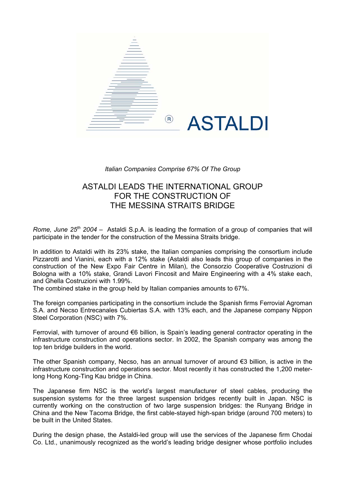

## *Italian Companies Comprise 67% Of The Group*

## ASTALDI LEADS THE INTERNATIONAL GROUP FOR THE CONSTRUCTION OF THE MESSINA STRAITS BRIDGE

*Rome, June 25th 2004* – Astaldi S.p.A. is leading the formation of a group of companies that will participate in the tender for the construction of the Messina Straits bridge.

In addition to Astaldi with its 23% stake, the Italian companies comprising the consortium include Pizzarotti and Vianini, each with a 12% stake (Astaldi also leads this group of companies in the construction of the New Expo Fair Centre in Milan), the Consorzio Cooperative Costruzioni di Bologna with a 10% stake, Grandi Lavori Fincosit and Maire Engineering with a 4% stake each, and Ghella Costruzioni with 1.99%.

The combined stake in the group held by Italian companies amounts to 67%.

The foreign companies participating in the consortium include the Spanish firms Ferrovial Agroman S.A. and Necso Entrecanales Cubiertas S.A. with 13% each, and the Japanese company Nippon Steel Corporation (NSC) with 7%.

Ferrovial, with turnover of around €6 billion, is Spain's leading general contractor operating in the infrastructure construction and operations sector. In 2002, the Spanish company was among the top ten bridge builders in the world.

The other Spanish company, Necso, has an annual turnover of around €3 billion, is active in the infrastructure construction and operations sector. Most recently it has constructed the 1,200 meterlong Hong Kong-Ting Kau bridge in China.

The Japanese firm NSC is the world's largest manufacturer of steel cables, producing the suspension systems for the three largest suspension bridges recently built in Japan. NSC is currently working on the construction of two large suspension bridges: the Runyang Bridge in China and the New Tacoma Bridge, the first cable-stayed high-span bridge (around 700 meters) to be built in the United States.

During the design phase, the Astaldi-led group will use the services of the Japanese firm Chodai Co. Ltd., unanimously recognized as the world's leading bridge designer whose portfolio includes